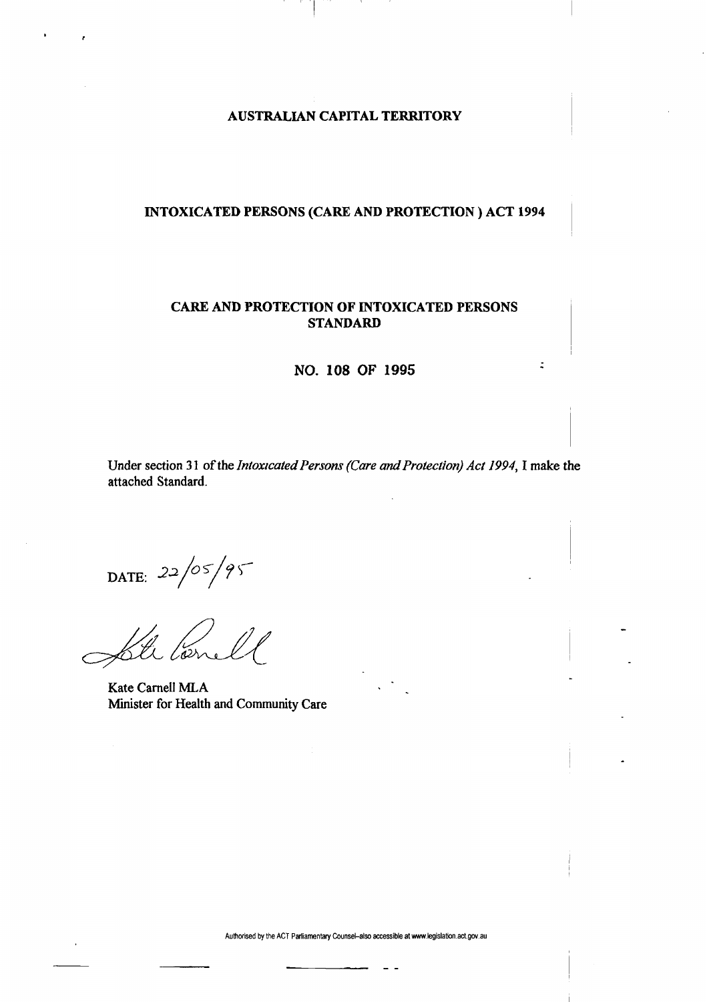## **AUSTRALIAN CAPITAL TERRITORY**

## **INTOXICATED PERSONS (CARE AND PROTECTION ) ACT 1994**

## **CARE AND PROTECTION OF INTOXICATED PERSONS STANDARD**

**NO. 108 OF 1995** 

 $\ddot{z}$ 

Under section 31 of the *Intoxicated Persons (Care and Protection) Act 1994,*1 make the attached Standard.

DATE:  $22/05/95$ 

lorn

Kate Carnell MLA Minister for Health and Community Care

Authorised by the ACT Parliamentary Counsel-also accessible at www.legislation.act.gov.au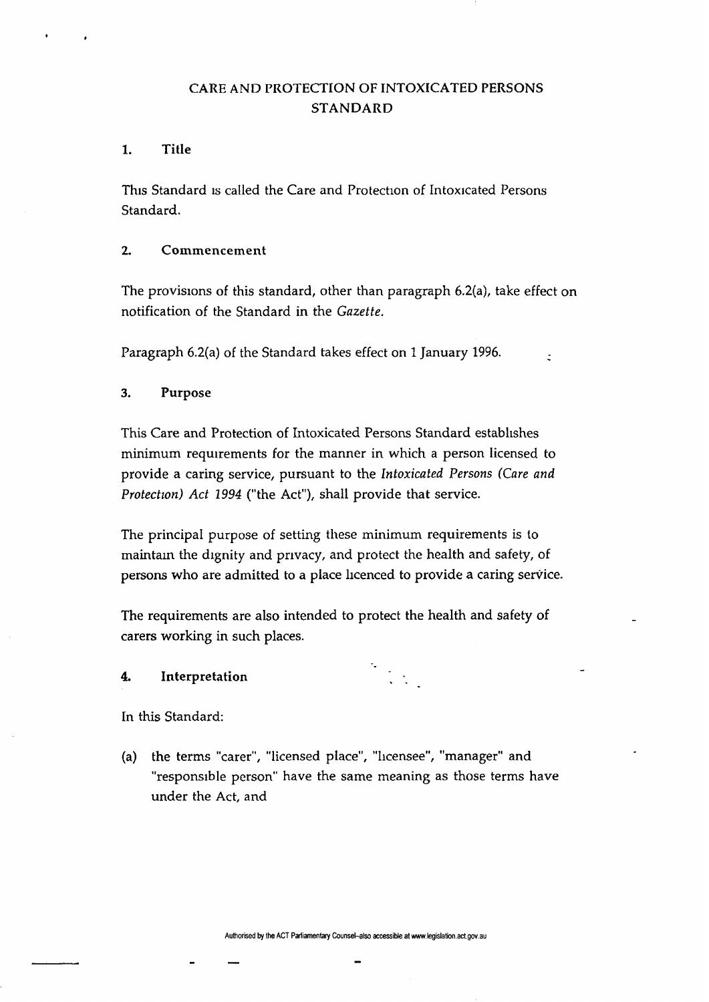# CARE AND PROTECTION OF INTOXICATED PERSONS STANDARD

## 1. Title

This Standard is called the Care and Protection of Intoxicated Persons Standard.

## 2. Commencement

The provisions of this standard, other than paragraph 6.2(a), take effect on notification of the Standard in the *Gazette.* 

Paragraph 6.2(a) of the Standard takes effect on 1 January 1996.

## 3. Purpose

This Care and Protection of Intoxicated Persons Standard establishes minimum requirements for the manner in which a person licensed to provide a caring service, pursuant to the *Intoxicated Persons (Care and Protection) Act 1994* ("the Act"), shall provide that service.

The principal purpose of setting these minimum requirements is to maintain the dignity and privacy, and protect the health and safety, of persons who are admitted to a place licenced to provide a caring service.

The requirements are also intended to protect the health and safety of carers working in such places.

## 4. Interpretation *\ \*

In this Standard:

(a) the terms "carer", "licensed place", "licensee", "manager" and "responsible person" have the same meaning as those terms have under the Act, and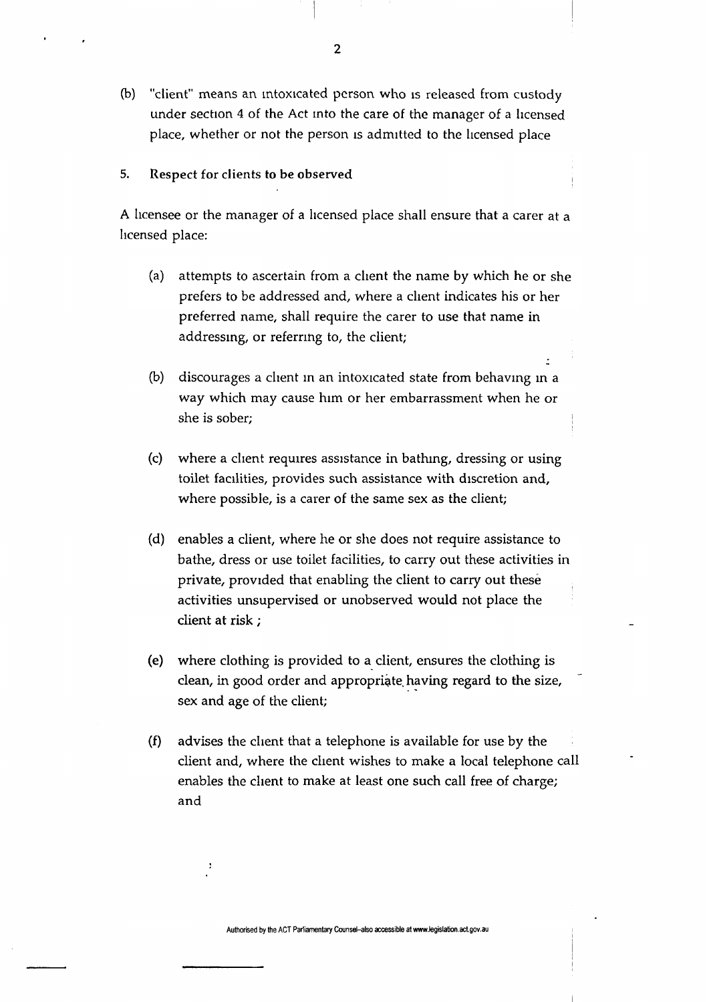- (b) "client" means an intoxicated person who is released from custody under section 4 of the Act into the care of the manager of a licensed place, whether or not the person is admitted to the licensed place
- 5. Respect for clients to be observed

A licensee or the manager of a licensed place shall ensure that a carer at a licensed place:

- (a) attempts to ascertain from a client the name by which he or she prefers to be addressed and, where a client indicates his or her preferred name, shall require the carer to use that name in addressing, or referring to, the client;
- (b) discourages a client in an intoxicated state from behaving in a way which may cause him or her embarrassment when he or she is sober;
- (c) where a client requires assistance in bathing, dressing or using toilet facilities, provides such assistance with discretion and, where possible, is a carer of the same sex as the client;
- (d) enables a client, where he or she does not require assistance to bathe, dress or use toilet facilities, to carry out these activities in private, provided that enabling the client to carry out these activities unsupervised or unobserved would not place the client at risk;
- (e) where clothing is provided to a client, ensures the clothing is clean, in good order and appropriate having regard to the size, sex and age of the client;
- (f) advises the client that a telephone is available for use by the client and, where the client wishes to make a local telephone call enables the client to make at least one such call free of charge; and

Authorised by the ACT Parliamentary Counsel-also accessible atwww.legislation.act.gov.au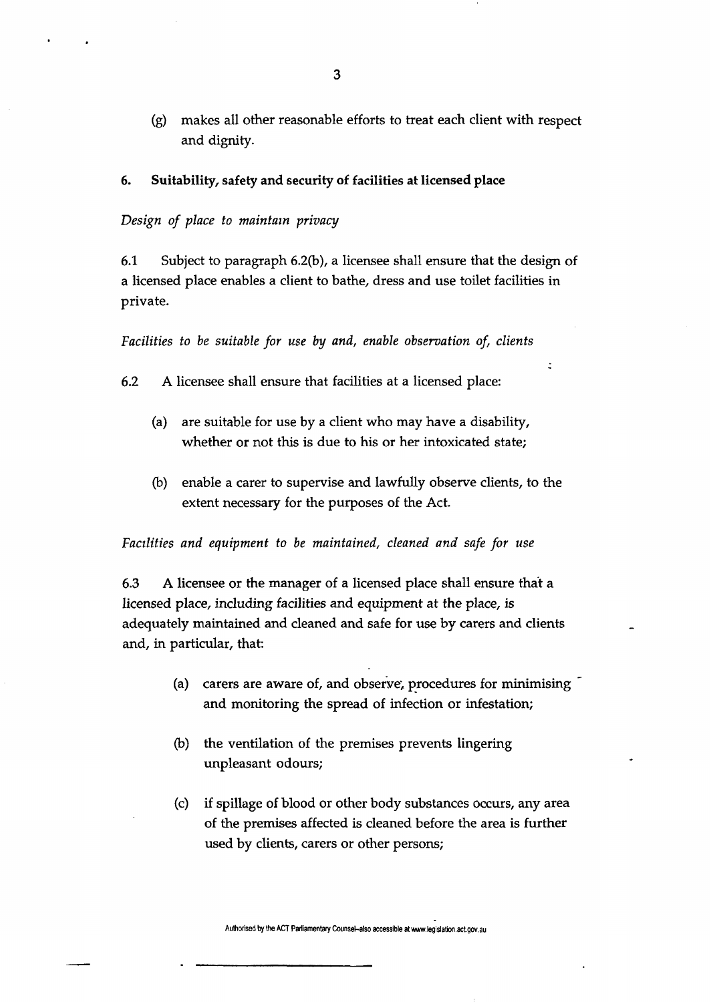(g) makes all other reasonable efforts to treat each client with respect and dignity.

6. Suitability, safety and security of facilities at licensed place

### *Design of place to maintain privacy*

6.1 Subject to paragraph 6.2(b), a licensee shall ensure that the design of a licensed place enables a client to bathe, dress and use toilet facilities in private.

*Facilities to be suitable for use by and, enable observation of, clients* 

6.2 A licensee shall ensure that facilities at a licensed place:

- (a) are suitable for use by a client who may have a disability, whether or not this is due to his or her intoxicated state;
- (b) enable a carer to supervise and lawfully observe clients, to the extent necessary for the purposes of the Act.

*Facilities and equipment to be maintained, cleaned and safe for use* 

6.3 A licensee or the manager of a licensed place shall ensure that a licensed place, including facilities and equipment at the place, is adequately maintained and cleaned and safe for use by carers and clients and, in particular, that:

- (a) carers are aware of, and observe, procedures for minimising  $\overline{\phantom{a}}$ and monitoring the spread of infection or infestation;
- (b) the ventilation of the premises prevents lingering unpleasant odours;
- (c) if spillage of blood or other body substances occurs, any area of the premises affected is cleaned before the area is further used by clients, carers or other persons;

**Authorised by the ACT Parliamentary Counsel-also accessible at www.legislation.act.gov.au**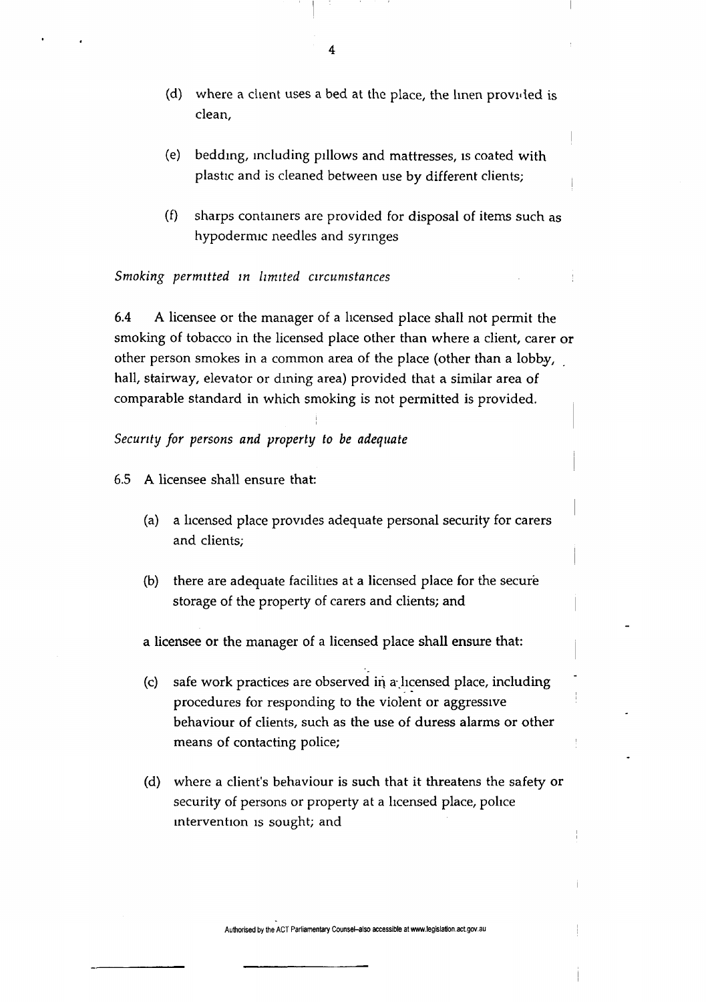- (d) where a client uses a bed at the place, the linen provided is clean,
- (e) bedding, including pillows and mattresses, is coated with plastic and is cleaned between use by different clients;
- (f) sharps containers are provided for disposal of items such as hypodermic needles and syringes

## *Smoking permitted in limited circumstances*

6.4 A licensee or the manager of a licensed place shall not permit the smoking of tobacco in the licensed place other than where a client, carer or other person smokes in a common area of the place (other than a lobby, hall, stairway, elevator or dining area) provided that a similar area of comparable standard in which smoking is not permitted is provided.

### *Security for persons and property to be adequate*

6.5 A licensee shall ensure that:

- (a) a licensed place provides adequate personal security for carers and clients;
- (b) there are adequate facilities at a licensed place for the secure storage of the property of carers and clients; and

a licensee or the manager of a licensed place shall ensure that:

- (c) safe work practices are observed in a-licensed place, including procedures for responding to the violent or aggressive behaviour of clients, such as the use of duress alarms or other means of contacting police;
- (d) where a client's behaviour is such that it threatens the safety or security of persons or property at a licensed place, police intervention is sought; and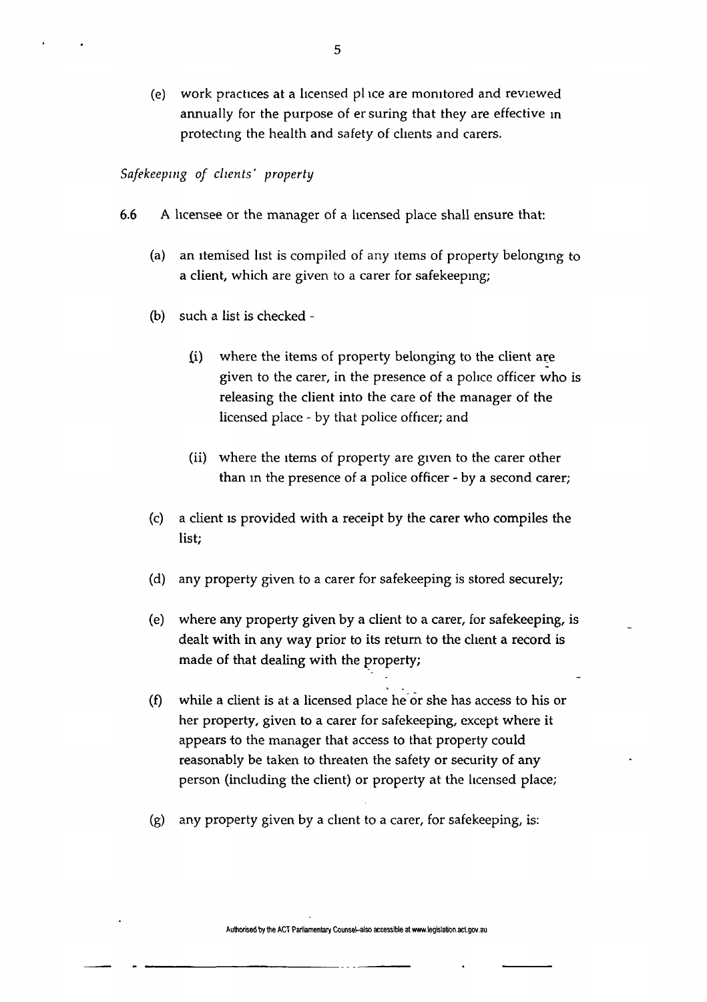(e) work practices at a licensed pi ice are monitored and reviewed annually for the purpose of ersuring that they are effective in protecting the health and safety of clients and carers.

## *Safekeeping of clients' property*

- 6.6 A licensee or the manager of a licensed place shall ensure that:
	- (a) an itemised list is compiled of any items of property belonging to a client, which are given to a carer for safekeeping;
	- (b) such a list is checked
		- (i) where the items of property belonging to the client are given to the carer, in the presence of a police officer who is releasing the client into the care of the manager of the licensed place - by that police officer; and
		- (ii) where the items of property are given to the carer other than in the presence of a police officer - by a second carer;
	- (c) a client is provided with a receipt by the carer who compiles the list;
	- (d) any property given to a carer for safekeeping is stored securely;
	- (e) where any property given by a client to a carer, for safekeeping, is dealt with in any way prior to its return to the client a record is made of that dealing with the property;
	- (f) while a client is at a licensed place he or she has access to his or her property, given to a carer for safekeeping, except where it appears to the manager that access to that property could reasonably be taken to threaten the safety or security of any person (including the client) or property at the licensed place;
	- (g) any property given by a client to a carer, for safekeeping, is:

Authorised by the ACT Parliamentary Counsel-also accessible at www.legislaton.act.gov.au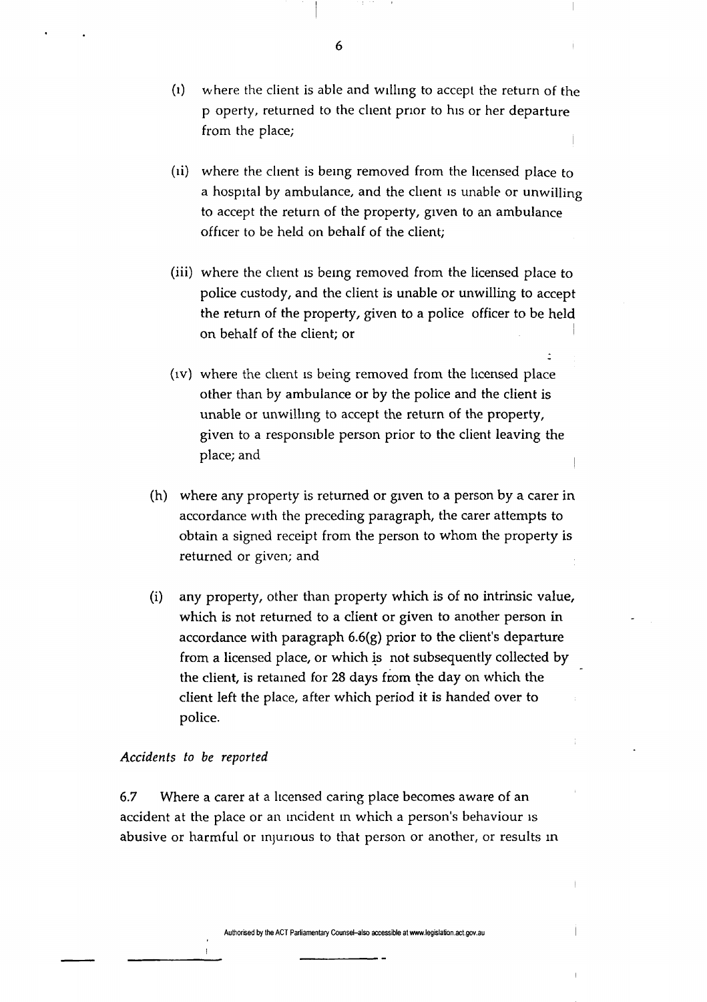- (l) where the client is able and willing to accept the return of the p operty, returned to the client prior to his or her departure from the place;
- (ii) where the client is being removed from the licensed place to a hospital by ambulance, and the client is unable or unwilling to accept the return of the property, given to an ambulance officer to be held on behalf of the client;
- (iii) where the client is being removed from the licensed place to police custody, and the client is unable or unwilling to accept the return of the property, given to a police officer to be held on behalf of the client; or
- (IV) where the client is being removed from the licensed place other than by ambulance or by the police and the client is unable or unwilling to accept the return of the property, given to a responsible person prior to the client leaving the place; and
- (h) where any property is returned or given to a person by a carer in accordance with the preceding paragraph, the carer attempts to obtain a signed receipt from the person to whom the property is returned or given; and
- (i) any property, other than property which is of no intrinsic value, which is not returned to a client or given to another person in accordance with paragraph 6.6(g) prior to the client's departure from a licensed place, or which is not subsequently collected by the client, is retained for 28 days from the day on which the client left the place, after which period it is handed over to police.

## *Accidents to be reported*

6.7 Where a carer at a licensed caring place becomes aware of an accident at the place or an incident in which a person's behaviour is abusive or harmful or injurious to that person or another, or results in

**6**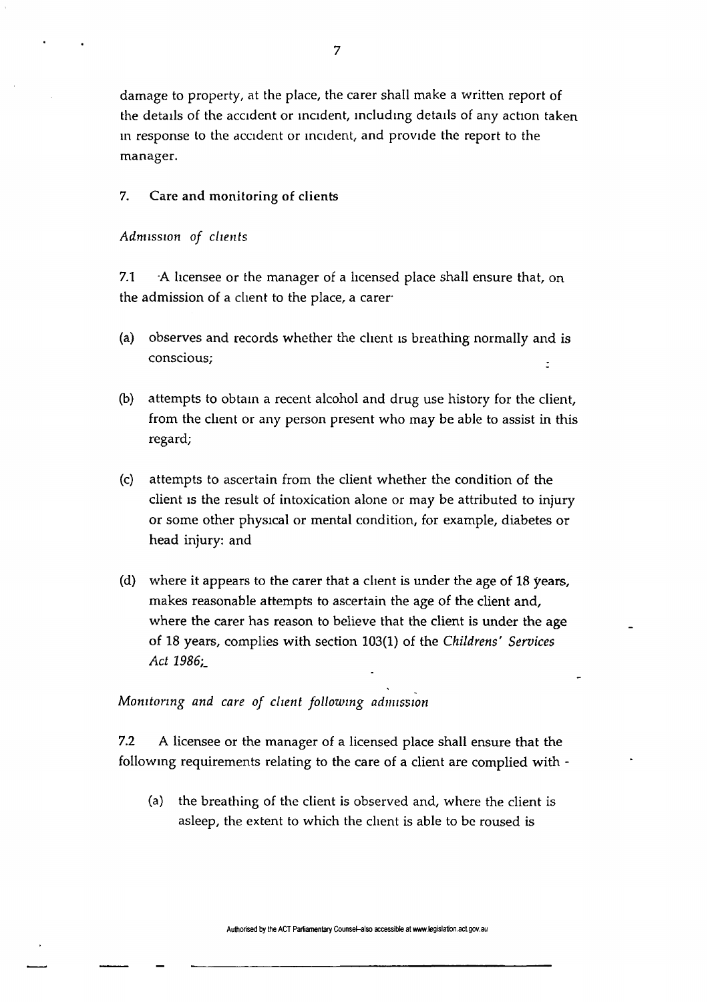damage to property, at the place, the carer shall make a written report of the details of the accident or incident, including details of any action taken in response to the accident or incident, and provide the report to the manager.

## 7. Care and monitoring of clients

#### *Admission of clients*

7.1  $\rightarrow$  A licensee or the manager of a licensed place shall ensure that, on the admission of a client to the place, a carer

- (a) observes and records whether the client is breathing normally and is conscious;
- (b) attempts to obtain a recent alcohol and drug use history for the client, from the client or any person present who may be able to assist in this regard;
- (c) attempts to ascertain from the client whether the condition of the client is the result of intoxication alone or may be attributed to injury or some other physical or mental condition, for example, diabetes or head injury: and
- (d) where it appears to the carer that a client is under the age of 18 years, makes reasonable attempts to ascertain the age of the client and, where the carer has reason to believe that the client is under the age of 18 years, complies with section 103(1) of the *Childrens' Services Act 1986*';\_

## *Monitoring and care of client following admission*

7.2 A licensee or the manager of a licensed place shall ensure that the following requirements relating to the care of a client are complied with -

(a) the breathing of the client is observed and, where the client is asleep, the extent to which the client is able to be roused is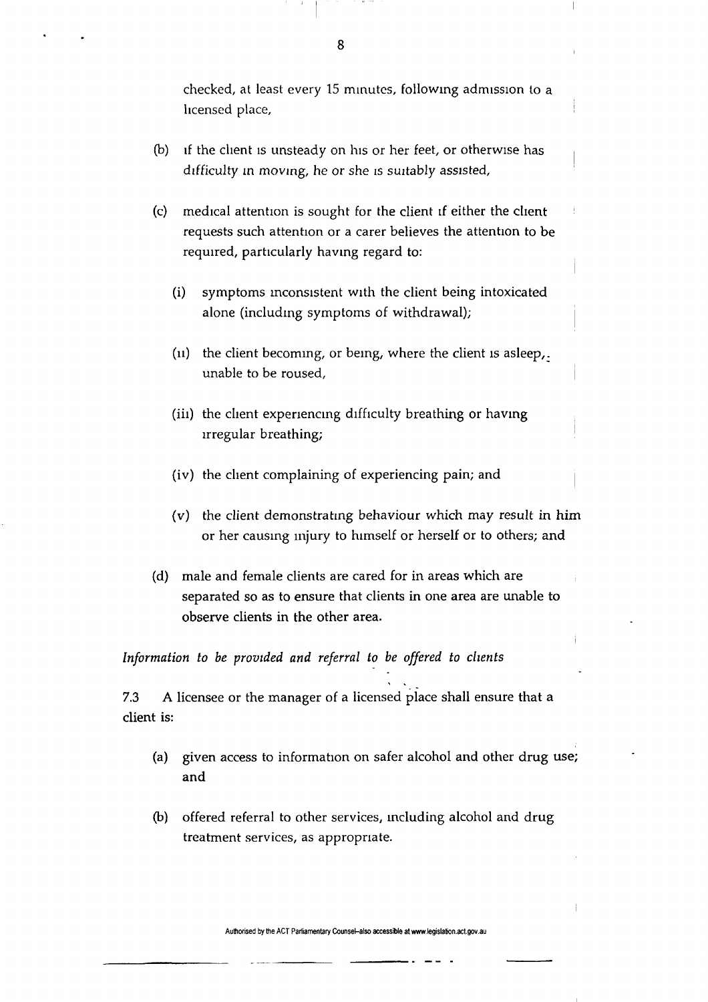checked, at least every 15 minutes, following admission to a licensed place,

- (b) if the client is unsteady on his or her feet, or otherwise has difficulty in moving, he or she is suitably assisted,
- (c) medical attention is sought for the client if either the client requests such attention or a carer believes the attention to be required, particularly having regard to:
	- (i) symptoms inconsistent with the client being intoxicated alone (including symptoms of withdrawal);
	- (u) the client becoming, or being, where the client is asleep,. unable to be roused,
	- (iii) the client experiencing difficulty breathing or having irregular breathing;
	- (iv) the client complaining of experiencing pain; and
	- (v) the client demonstrating behaviour which may result in him or her causing injury to himself or herself or to others; and
- (d) male and female clients are cared for in areas which are separated so as to ensure that clients in one area are unable to observe clients in the other area.

*Information to be provided and referral to be offered to clients* 

7.3 A licensee or the manager of a licensed place shall ensure that a client is:

- (a) given access to information on safer alcohol and other drug use; and
- (b) offered referral to other services, including alcohol and drug treatment services, as appropriate.

**Authorised by the ACT Parliamentary Counsel-also accessible at www.legislation.act.gov.au** 

8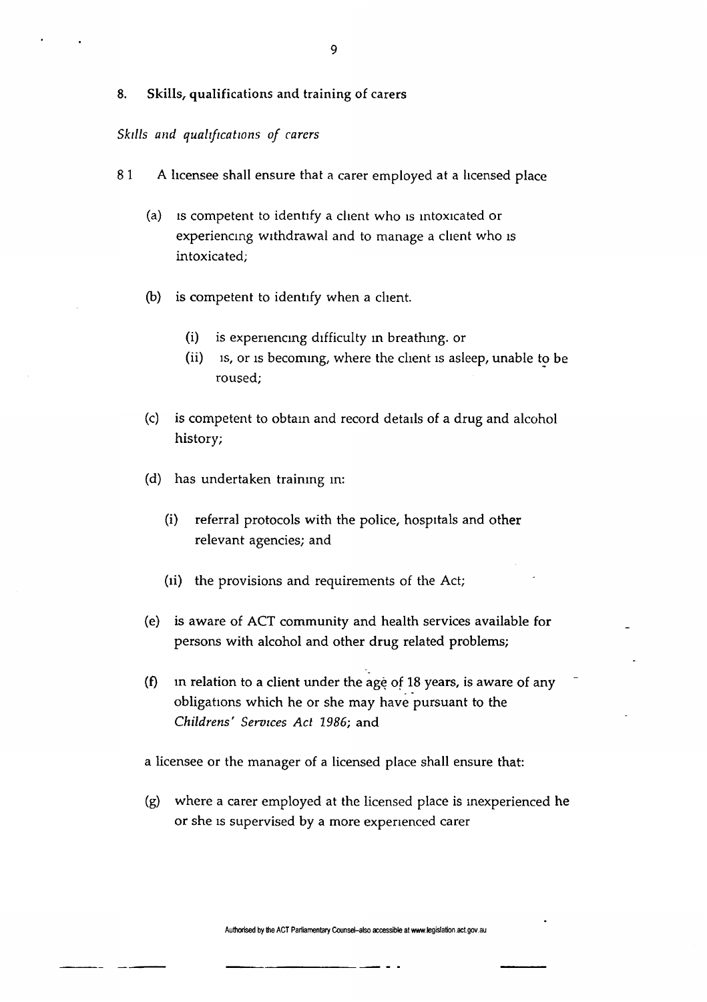### 8. Skills, qualifications and training of carers

## *Skills and qualifications of carers*

- 8 1 A licensee shall ensure that a carer employed at a licensed place
	- (a) is competent to identify a client who is intoxicated or experiencing withdrawal and to manage a client who is intoxicated;
	- (b) is competent to identify when a client.
		- (i) is experiencing difficulty in breathing, or
		- (ii) is, or is becoming, where the client is asleep, unable to be roused;
	- (c) is competent to obtain and record details of a drug and alcohol history;
	- (d) has undertaken training in:
		- (i) referral protocols with the police, hospitals and other relevant agencies; and
		- (ii) the provisions and requirements of the Act;
	- (e) is aware of ACT community and health services available for persons with alcohol and other drug related problems;
	- (f) in relation to a client under the age of 18 years, is aware of any obligations which he or she may have pursuant to the *Childrens' Services Act 1986;* and
	- a licensee or the manager of a licensed place shall ensure that:
	- (g) where a carer employed at the licensed place is inexperienced he or she is supervised by a more experienced carer

**Authorised by the ACT Parliamentary Counsel-also accessible at www.legislation.act.gov.au**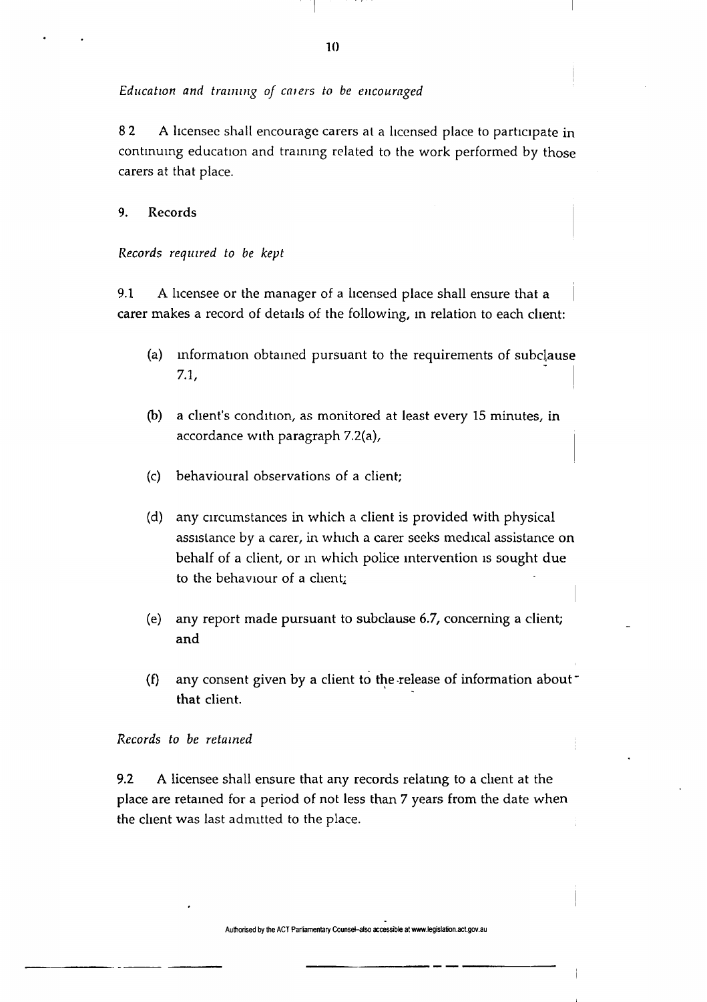### *Education and training of enters to be encouraged*

8 2 A licensee shall encourage carers at a licensed place to participate in continuing education and training related to the work performed by those carers at that place.

## 9. Records

*Records required to be kept* 

9.1 A licensee or the manager of a licensed place shall ensure that a carer makes a record of details of the following, in relation to each client:

- (a) information obtained pursuant to the requirements of subclause 7.1,
- (b) a client's condition, as monitored at least every 15 minutes, in accordance with paragraph 7.2(a),
- (c) behavioural observations of a client;
- (d) any circumstances in which a client is provided with physical assistance by a carer, in which a carer seeks medical assistance on behalf of a client, or in which police intervention is sought due to the behaviour of a client
- (e) any report made pursuant to subclause 6.7, concerning a client; and
- (f) any consent given by a client to the release of information about  $\sim$ that client.

#### *Records to be retained*

9.2 A licensee shall ensure that any records relating to a client at the place are retained for a period of not less than 7 years from the date when the client was last admitted to the place.

**10**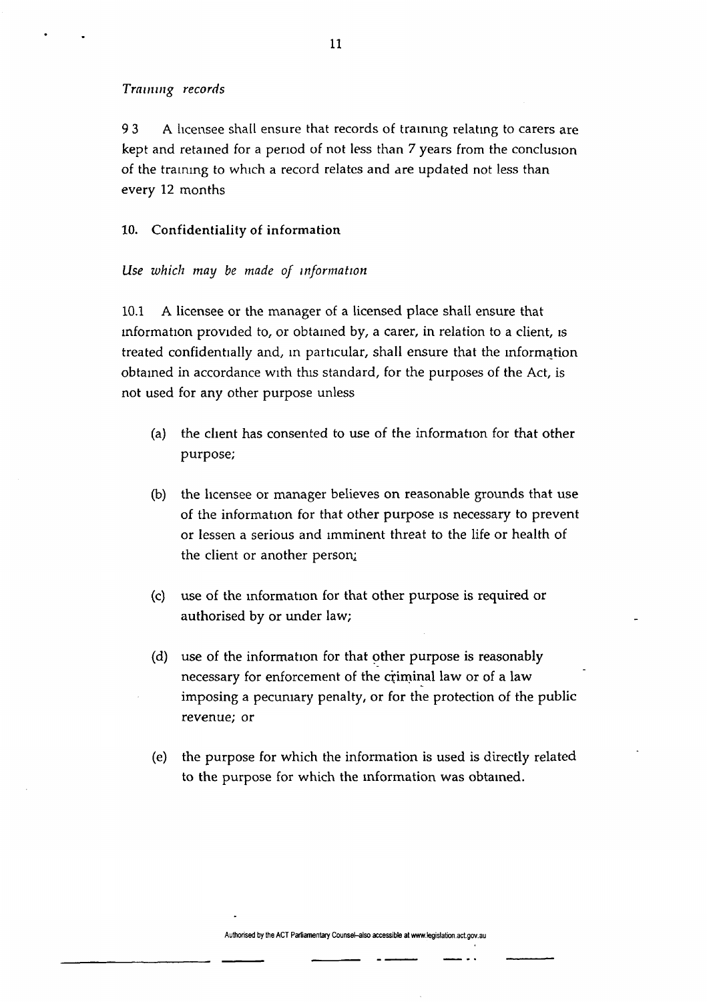#### *Training records*

93 A licensee shall ensure that records of training relating to carers are kept and retained for a period of not less than 7 years from the conclusion of the training to which a record relates and are updated not less than every 12 months

#### 10. Confidentiality of information

#### *Use which may be made of information*

10.1 A licensee or the manager of a licensed place shall ensure that information provided to, or obtained by, a carer, in relation to a client, is treated confidentially and, in particular, shall ensure that the information obtained in accordance with this standard, for the purposes of the Act, is not used for any other purpose unless

- (a) the client has consented to use of the information for that other purpose;
- (b) the licensee or manager believes on reasonable grounds that use of the information for that other purpose is necessary to prevent or lessen a serious and imminent threat to the life or health of the client or another person;
- (c) use of the information for that other purpose is required or authorised by or under law;
- (d) use of the information for that other purpose is reasonably necessary for enforcement of the criminal law or of a law imposing a pecuniary penalty, or for the protection of the public revenue; or
- (e) the purpose for which the information is used is directly related to the purpose for which the information was obtained.